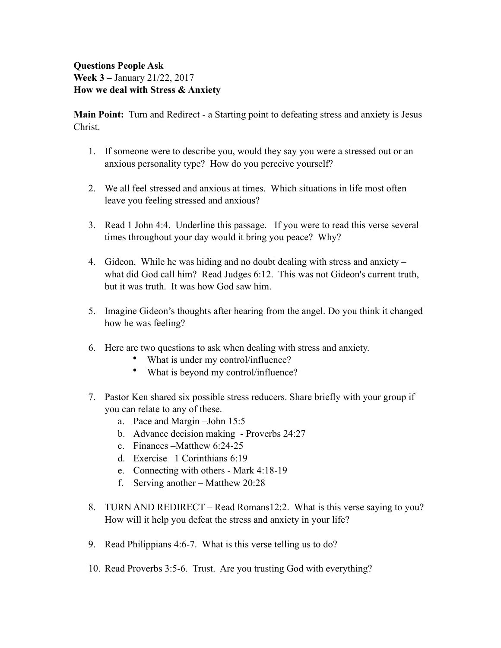## **Questions People Ask Week 3 –** January 21/22, 2017 **How we deal with Stress & Anxiety**

**Main Point:** Turn and Redirect - a Starting point to defeating stress and anxiety is Jesus Christ.

- 1. If someone were to describe you, would they say you were a stressed out or an anxious personality type? How do you perceive yourself?
- 2. We all feel stressed and anxious at times. Which situations in life most often leave you feeling stressed and anxious?
- 3. Read 1 John 4:4. Underline this passage. If you were to read this verse several times throughout your day would it bring you peace? Why?
- 4. Gideon. While he was hiding and no doubt dealing with stress and anxiety what did God call him? Read Judges 6:12. This was not Gideon's current truth, but it was truth. It was how God saw him.
- 5. Imagine Gideon's thoughts after hearing from the angel. Do you think it changed how he was feeling?
- 6. Here are two questions to ask when dealing with stress and anxiety.
	- What is under my control/influence?
	- What is beyond my control/influence?
- 7. Pastor Ken shared six possible stress reducers. Share briefly with your group if you can relate to any of these.
	- a. Pace and Margin –John 15:5
	- b. Advance decision making Proverbs 24:27
	- c. Finances –Matthew 6:24-25
	- d. Exercise –1 Corinthians 6:19
	- e. Connecting with others Mark 4:18-19
	- f. Serving another Matthew 20:28
- 8. TURN AND REDIRECT Read Romans12:2. What is this verse saying to you? How will it help you defeat the stress and anxiety in your life?
- 9. Read Philippians 4:6-7. What is this verse telling us to do?
- 10. Read Proverbs 3:5-6. Trust. Are you trusting God with everything?